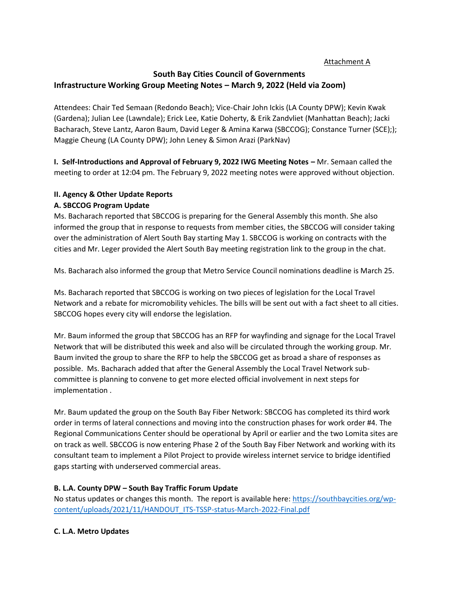## Attachment A

# **South Bay Cities Council of Governments Infrastructure Working Group Meeting Notes – March 9, 2022 (Held via Zoom)**

Attendees: Chair Ted Semaan (Redondo Beach); Vice-Chair John Ickis (LA County DPW); Kevin Kwak (Gardena); Julian Lee (Lawndale); Erick Lee, Katie Doherty, & Erik Zandvliet (Manhattan Beach); Jacki Bacharach, Steve Lantz, Aaron Baum, David Leger & Amina Karwa (SBCCOG); Constance Turner (SCE);); Maggie Cheung (LA County DPW); John Leney & Simon Arazi (ParkNav)

**I. Self-Introductions and Approval of February 9, 2022 IWG Meeting Notes – Mr. Semaan called the** meeting to order at 12:04 pm. The February 9, 2022 meeting notes were approved without objection.

## **II. Agency & Other Update Reports**

## **A. SBCCOG Program Update**

Ms. Bacharach reported that SBCCOG is preparing for the General Assembly this month. She also informed the group that in response to requests from member cities, the SBCCOG will consider taking over the administration of Alert South Bay starting May 1. SBCCOG is working on contracts with the cities and Mr. Leger provided the Alert South Bay meeting registration link to the group in the chat.

Ms. Bacharach also informed the group that Metro Service Council nominations deadline is March 25.

Ms. Bacharach reported that SBCCOG is working on two pieces of legislation for the Local Travel Network and a rebate for micromobility vehicles. The bills will be sent out with a fact sheet to all cities. SBCCOG hopes every city will endorse the legislation.

Mr. Baum informed the group that SBCCOG has an RFP for wayfinding and signage for the Local Travel Network that will be distributed this week and also will be circulated through the working group. Mr. Baum invited the group to share the RFP to help the SBCCOG get as broad a share of responses as possible. Ms. Bacharach added that after the General Assembly the Local Travel Network subcommittee is planning to convene to get more elected official involvement in next steps for implementation .

Mr. Baum updated the group on the South Bay Fiber Network: SBCCOG has completed its third work order in terms of lateral connections and moving into the construction phases for work order #4. The Regional Communications Center should be operational by April or earlier and the two Lomita sites are on track as well. SBCCOG is now entering Phase 2 of the South Bay Fiber Network and working with its consultant team to implement a Pilot Project to provide wireless internet service to bridge identified gaps starting with underserved commercial areas.

## **B. L.A. County DPW – South Bay Traffic Forum Update**

No status updates or changes this month. The report is available here: [https://southbaycities.org/wp](https://southbaycities.org/wp-content/uploads/2021/11/HANDOUT_ITS-TSSP-status-March-2022-Final.pdf)[content/uploads/2021/11/HANDOUT\\_ITS-TSSP-status-March-2022-Final.pdf](https://southbaycities.org/wp-content/uploads/2021/11/HANDOUT_ITS-TSSP-status-March-2022-Final.pdf)

# **C. L.A. Metro Updates**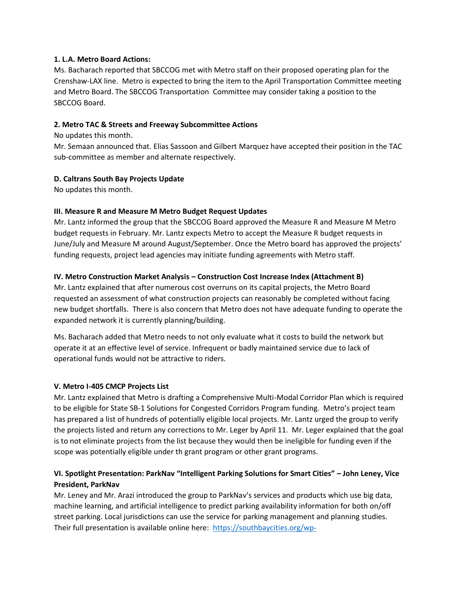#### **1. L.A. Metro Board Actions:**

Ms. Bacharach reported that SBCCOG met with Metro staff on their proposed operating plan for the Crenshaw-LAX line. Metro is expected to bring the item to the April Transportation Committee meeting and Metro Board. The SBCCOG Transportation Committee may consider taking a position to the SBCCOG Board.

## **2. Metro TAC & Streets and Freeway Subcommittee Actions**

No updates this month.

Mr. Semaan announced that. Elias Sassoon and Gilbert Marquez have accepted their position in the TAC sub-committee as member and alternate respectively.

## **D. Caltrans South Bay Projects Update**

No updates this month.

## **III. Measure R and Measure M Metro Budget Request Updates**

Mr. Lantz informed the group that the SBCCOG Board approved the Measure R and Measure M Metro budget requests in February. Mr. Lantz expects Metro to accept the Measure R budget requests in June/July and Measure M around August/September. Once the Metro board has approved the projects' funding requests, project lead agencies may initiate funding agreements with Metro staff.

## **IV. Metro Construction Market Analysis – Construction Cost Increase Index (Attachment B)**

Mr. Lantz explained that after numerous cost overruns on its capital projects, the Metro Board requested an assessment of what construction projects can reasonably be completed without facing new budget shortfalls. There is also concern that Metro does not have adequate funding to operate the expanded network it is currently planning/building.

Ms. Bacharach added that Metro needs to not only evaluate what it costs to build the network but operate it at an effective level of service. Infrequent or badly maintained service due to lack of operational funds would not be attractive to riders.

#### **V. Metro I-405 CMCP Projects List**

Mr. Lantz explained that Metro is drafting a Comprehensive Multi-Modal Corridor Plan which is required to be eligible for State SB-1 Solutions for Congested Corridors Program funding. Metro's project team has prepared a list of hundreds of potentially eligible local projects. Mr. Lantz urged the group to verify the projects listed and return any corrections to Mr. Leger by April 11. Mr. Leger explained that the goal is to not eliminate projects from the list because they would then be ineligible for funding even if the scope was potentially eligible under th grant program or other grant programs.

# **VI. Spotlight Presentation: ParkNav "Intelligent Parking Solutions for Smart Cities" – John Leney, Vice President, ParkNav**

Mr. Leney and Mr. Arazi introduced the group to ParkNav's services and products which use big data, machine learning, and artificial intelligence to predict parking availability information for both on/off street parking. Local jurisdictions can use the service for parking management and planning studies. Their full presentation is available online here: [https://southbaycities.org/wp-](https://southbaycities.org/wp-content/uploads/2021/11/PRESENTATION_Parknav-Overview-South-Bay-Cities-Council-09Mar2022-.pdf)